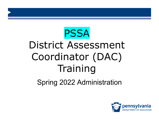# PSSA District Assessment Coordinator (DAC) **Training**

Spring 2022 Administration

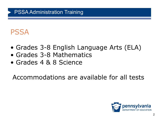### PSSA

- Grades 3-8 English Language Arts (ELA)
- Grades 3-8 Mathematics
- Grades 4 & 8 Science

Accommodations are available for all tests

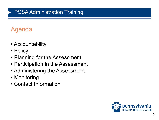### Agenda

- Accountability
- Policy
- Planning for the Assessment
- Participation in the Assessment
- Administering the Assessment
- Monitoring
- Contact Information

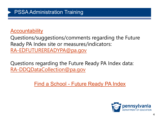#### **[Accountability](http://www.education.pa.gov/K-12/Assessment%20and%20Accountability/Pages/PAS.aspx)**

Questions/suggestions/comments regarding the Future Ready PA Index site or measures/indicators: [RA-EDFUTUREREADYPA@pa.gov](mailto:RA-EDFUTUREREADYPA@pa.gov)

Questions regarding the Future Ready PA Index data: [RA-DDQDataCollection@pa.gov](mailto:RA-DDQDataCollection@pa.gov)

Find a School - [Future Ready PA Index](https://futurereadypa.org/)

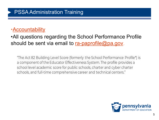#### [•Accountability](http://www.education.pa.gov/K-12/Assessment%20and%20Accountability/Pages/PAS.aspx)

•All questions regarding the School Performance Profile should be sent via email to [ra-paprofile@pa.gov.](mailto:ra-paprofile@pa.gov)

"The Act 82 Building Level Score (formerly the School Performance Profile\*) is a component of the Educator Effectiveness System. The profile provides a school level academic score for public schools, charter and cyber charter schools, and full-time comprehensive career and technical centers."

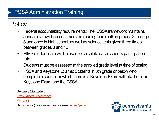### **Policy**

- Federal accountability requirements: The ESSA framework maintains annual, statewide assessments in reading and math in grades 3 through 8 and once in high school, as well as science tests given three times between grades 3 and 12
- PIMS student data will be used to calculate each school's participation rate
- Students must be assessed at the enrolled grade level at time of testing
- PSSA and Keystone Exams: Students in 8th grade or below who complete a course for which there is a Keystone Exam will take both the Keystone Exam and the PSSA

#### *For more information:*

[Every Student Succeeds Act](http://www.ed.gov/essa?src=rn)

[Chapter 4](http://www.pacode.com/secure/data/022/chapter4/chap4toc.html)

Accountability (participation) questions email [ra-pas@pa.gov](mailto:ra-pas@pa.gov)

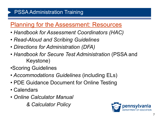### **[Planning for the Assessment: Resources](http://www.education.pa.gov/K-12/Assessment%20and%20Accountability/PSSA/Pages/default.aspx)**

- *Handbook for Assessment Coordinators (HAC)*
- *Read-Aloud and Scribing Guidelines*
- *Directions for Administration (DFA)*
- *Handbook for Secure Test Administration* (PSSA and Keystone)
- •Scoring Guidelines
- *Accommodations Guidelines* (including ELs)
- PDE Guidance Document for Online Testing
- Calendars
- *Online Calculator Manual*

*& Calculator Policy*

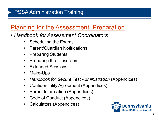### [Planning for the Assessment: Preparation](http://www.education.pa.gov/K-12/Assessment%20and%20Accountability/PSSA/Pages/Test-Administrators-Materials.aspx)

- *Handbook for Assessment Coordinators*
	- Scheduling the Exams
	- Parent/Guardian Notifications
	- Preparing Students
	- Preparing the Classroom
	- Extended Sessions
	- Make-Ups
	- *Handbook for Secure Test Administration* (Appendices)
	- Confidentiality Agreement (Appendices)
	- Parent Information (Appendices)
	- Code of Conduct (Appendices)
	- Calculators (Appendices)

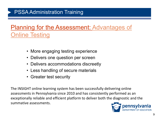### **[Planning for the Assessment: A](http://www.education.pa.gov/K-12/Assessment%20and%20Accountability/PSSA/Pages/default.aspx)dvantages of** Online Testing

- More engaging testing experience
- Delivers one question per screen
- Delivers accommodations discreetly
- Less handling of secure materials
- Greater test security

The INSIGHT online learning system has been successfully delivering online assessments in Pennsylvania since 2010 and has consistently performed as an exceptionally reliable and efficient platform to deliver both the diagnostic and the summative assessments.

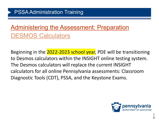### [Administering the Assessment: Preparation](http://www.education.pa.gov/K-12/Assessment%20and%20Accountability/PSSA/Pages/Test-Administrators-Materials.aspx) DESMOS Calculators

Beginning in the 2022-2023 school year, PDE will be transitioning to Desmos calculators within the INSIGHT online testing system. The Desmos calculators will replace the current INSIGHT calculators for all online Pennsylvania assessments: Classroom Diagnostic Tools (CDT), PSSA, and the Keystone Exams.

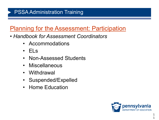### **[Planning for the Assessment: Participation](http://www.education.pa.gov/K-12/Assessment%20and%20Accountability/PSSA/Pages/Test-Administrators-Materials.aspx)**

- *Handbook for Assessment Coordinators*
	- Accommodations
	- $\cdot$  FLs
	- Non-Assessed Students
	- Miscellaneous
	- Withdrawal
	- Suspended/Expelled
	- Home Education

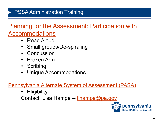## [Planning for the Assessment: Participation with](http://www.education.pa.gov/K-12/Assessment%20and%20Accountability/PSSA/Pages/default.aspx)

#### [Accommodations](http://www.education.pa.gov/K-12/Assessment%20and%20Accountability/PSSA/Pages/default.aspx)

- Read Aloud
- Small groups/De-spiraling
- **Concussion**
- Broken Arm
- Scribing
- Unique Accommodations

#### [Pennsylvania Alternate System of Assessment \(PASA\)](http://www.education.pa.gov/K-12/Assessment%20and%20Accountability/Pages/PASA.aspx)

**Eligibility** 

Contact: Lisa Hampe -- [lihampe@pa.gov](mailto:lihampe@pa.gov)

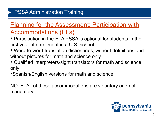### **Planning for the Assessment: Participation with** Accommodations (ELs)

- Participation in the ELA PSSA is optional for students in their first year of enrollment in a U.S. school.
- Word-to-word translation dictionaries, without definitions and without pictures for math and science only
- Qualified interpreters/sight translators for math and science only
- •Spanish/English versions for math and science

NOTE: All of these accommodations are voluntary and not mandatory.

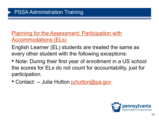**[Planning for the Assessment: Participation with](http://www.education.pa.gov/K-12/Assessment%20and%20Accountability/PSSA/Pages/default.aspx)** Accommodations (ELs)

English Learner (EL) students are treated the same as every other student with the following exceptions:

• Note: During their first year of enrollment in a US school the scores for ELs do not count for accountability, just for participation.

• Contact: -- Julia Hutton [juhutton@pa.gov](mailto:juhutton@pa.gov)

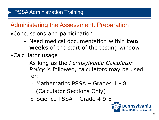### [Administering the Assessment: Preparation](http://www.education.pa.gov/K-12/Assessment%20and%20Accountability/PSSA/Pages/Test-Administrators-Materials.aspx)

- •Concussions and participation
	- Need medical documentation within **two weeks** of the start of the testing window
- •Calculator usage
	- As long as the *Pennsylvania Calculator Policy* is followed, calculators may be used for:
		- o Mathematics PSSA Grades 4 8 (Calculator Sections Only)
		- o Science PSSA Grade 4 & 8

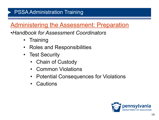### [Administering the Assessment: Preparation](http://www.education.pa.gov/K-12/Assessment%20and%20Accountability/PSSA/Pages/Test-Administrators-Materials.aspx)

#### •*Handbook for Assessment Coordinators*

- Training
- Roles and Responsibilities
- Test Security
	- Chain of Custody
	- Common Violations
	- Potential Consequences for Violations
	- Cautions

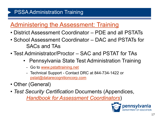### [Administering the Assessment: Training](http://www.education.pa.gov/K-12/Assessment%20and%20Accountability/PSSA/Pages/Test-Administrators-Materials.aspx)

- District Assessment Coordinator PDE and all PSTATs
- School Assessment Coordinator DAC and PSTATs for SACs and TAs
- Test Administrator/Proctor SAC and PSTAT for TAs
	- Pennsylvania State Test Administration Training
		- Go to [www.pstattraining.net](http://www.pstattraining.net/)
		- Technical Support Contact DRC at 844-734-1422 or [pstat@datarecognitioncorp.com](mailto:pstat@datarecognitioncorp.com)
- Other (General)
- *Test Security Certification* Documents (Appendices, *[Handbook for Assessment Coordinators](http://www.education.pa.gov/K-12/Assessment%20and%20Accountability/PSSA/Pages/Test-Administrators-Materials.aspx)*)

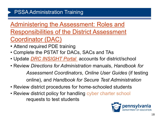Administering the Assessment: Roles and [Responsibilities of the District Assessment](http://www.education.pa.gov/K-12/Assessment%20and%20Accountability/PSSA/Pages/Test-Administrators-Materials.aspx) Coordinator (DAC)

- Attend required PDE training
- Complete the PSTAT for DACs, SACs and TAs
- Update *[DRC INSIGHT Portal](https://pa.drcedirect.com/)* accounts for district/school
- Review *Directions for Administration* manuals, *Handbook for Assessment Coordinators*, *Online User Guides* (if testing online), and *Handbook for Secure Test Administration*
- Review district procedures for home-schooled students
- Review district policy for handling cyber charter school requests to test students

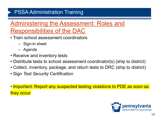- Train school assessment coordinators
	- Sign-in sheet
	- Agenda
- Receive and inventory tests
- Distribute tests to school assessment coordinator(s) (ship to district)
- Collect, inventory, package, and return tests to DRC (ship to district)
- Sign *Test Security Certification*
- Important: Report any suspected testing violations to PDE as soon as they occur

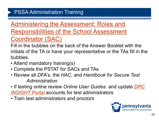### Administering the Assessment: Roles and **[Responsibilities of the School Assessment](http://www.education.pa.gov/K-12/Assessment%20and%20Accountability/PSSA/Pages/Test-Administrators-Materials.aspx)** Coordinator (SAC)

Fill in the bubbles on the back of the Answer Booklet with the initials of the TA or have your representative or the TAs fill in the bubbles.

- Attend mandatory training(s)
- Complete the PSTAT for SACs and TAs
- Review all *DFA*'s, the *HAC,* and *Handbook for Secure Test Administration*
- If testing online review *Online User Guides* and update *DRC INSIGHT Portal* [accounts for test administrators](https://pa.drcedirect.com/)
- Train test administrators and proctors

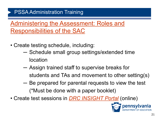- Create testing schedule, including:
	- ─ Schedule small group settings/extended time location
	- ─ Assign trained staff to supervise breaks for students and TAs and movement to other setting(s)
	- ─ Be prepared for parental requests to view the test (\*Must be done with a paper booklet)
- Create test sessions in *[DRC INSIGHT Portal](https://pa.drcedirect.com/)* (online)

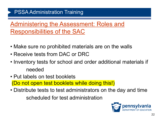- Make sure no prohibited materials are on the walls
- Receive tests from DAC or DRC
- Inventory tests for school and order additional materials if needed
- Put labels on test booklets (Do not open test booklets while doing this!)
- Distribute tests to test administrators on the day and time scheduled for test administration

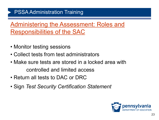- Monitor testing sessions
- Collect tests from test administrators
- Make sure tests are stored in a locked area with controlled and limited access
- Return all tests to DAC or DRC
- Sign *Test Security Certification Statement*

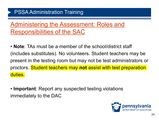- **Note**: TAs must be a member of the school/district staff (includes substitutes). No volunteers. Student teachers may be present in the testing room but may not be test administrators or proctors. Student teachers may **not** assist with test preparation duties.
- **Important**: Report any suspected testing violations immediately to the DAC

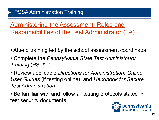Administering the Assessment: Roles and [Responsibilities of the Test Administrator \(TA\)](http://www.education.pa.gov/K-12/Assessment%20and%20Accountability/PSSA/Pages/Test-Administrators-Materials.aspx)

- Attend training led by the school assessment coordinator
- Complete the *Pennsylvania State Test Administrator Training* (PSTAT)
- Review applicable *Directions for Administration, Online User Guides* (if testing online), and *Handbook for Secure Test Administration*
- Be familiar with and follow all testing protocols stated in test security documents

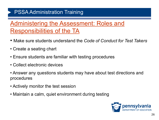- Make sure students understand the *Code of Conduct for Test Takers*
- Create a seating chart
- Ensure students are familiar with testing procedures
- Collect electronic devices
- Answer any questions students may have about test directions and procedures
- Actively monitor the test session
- Maintain a calm, quiet environment during testing

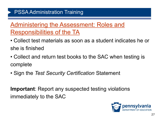### [Administering the Assessment: Roles and](http://www.education.pa.gov/K-12/Assessment%20and%20Accountability/PSSA/Pages/Test-Administrators-Materials.aspx)  Responsibilities of the TA

- Collect test materials as soon as a student indicates he or she is finished
- Collect and return test books to the SAC when testing is complete
- Sign the *Test Security Certification* Statement

**Important**: Report any suspected testing violations immediately to the SAC

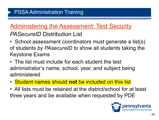#### *PASecureID* Distribution List

- School assessment coordinators must generate a list(s) of students *by PAsecureID* to show all students taking the Keystone Exams
- The list must include for each student the test administrator's name, school, year, and subject being administered
- Student names should **not** be included on this list
- All lists must be retained at the district/school for at least three years and be available when requested by PDE

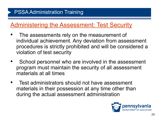- The assessments rely on the measurement of individual achievement. Any deviation from assessment procedures is strictly prohibited and will be considered a violation of test security
- School personnel who are involved in the assessment program must maintain the security of all assessment materials at all times
- Test administrators should not have assessment materials in their possession at any time other than during the actual assessment administration

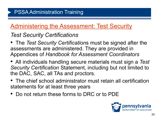#### *Test Security Certifications*

- The *Test Security Certification*s must be signed after the assessments are administered. They are provided in Appendices of *Handbook for Assessment Coordinators*
- All individuals handling secure materials must sign a *Test Security Certification* Statement, including but not limited to the DAC, SAC, all TAs and proctors.
- The chief school administrator must retain all certification statements for at least three years
- Do not return these forms to DRC or to PDE

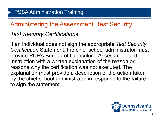#### *Test Security Certification*s

If an individual does not sign the appropriate *Test Security Certification* Statement, the chief school administrator must provide PDE's Bureau of Curriculum, Assessment and Instruction with a written explanation of the reason or reasons why the certification was not executed. The explanation must provide a description of the action taken by the chief school administrator in response to the failure to sign the statement.

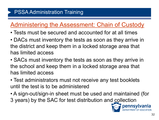### [Administering the Assessment: Chain of Custody](http://www.education.pa.gov/K-12/Assessment%20and%20Accountability/PSSA/Pages/Test-Administrators-Materials.aspx)

- Tests must be secured and accounted for at all times
- DACs must inventory the tests as soon as they arrive in the district and keep them in a locked storage area that has limited access
- SACs must inventory the tests as soon as they arrive in the school and keep them in a locked storage area that has limited access
- Test administrators must not receive any test booklets until the test is to be administered
- A sign-out/sign-in sheet must be used and maintained (for 3 years) by the SAC for test distribution and collection

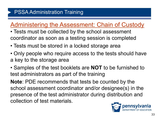### [Administering the Assessment: Chain of Custody](http://www.education.pa.gov/K-12/Assessment%20and%20Accountability/PSSA/Pages/Test-Administrators-Materials.aspx)

- Tests must be collected by the school assessment coordinator as soon as a testing session is completed
- Tests must be stored in a locked storage area
- Only people who require access to the tests should have a key to the storage area
- Samples of the test booklets are **NOT** to be furnished to test administrators as part of the training

**Note**: PDE recommends that tests be counted by the school assessment coordinator and/or designee(s) in the presence of the test administrator during distribution and collection of test materials.

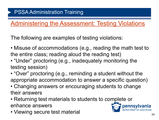### [Administering the Assessment: Testing Violations](http://www.education.pa.gov/K-12/Assessment%20and%20Accountability/PSSA/Pages/Test-Administrators-Materials.aspx)

The following are examples of testing violations:

- Misuse of accommodations (e.g., reading the math test to the entire class; reading aloud the reading test)
- "Under" proctoring (e.g., inadequately monitoring the testing session)
- "Over" proctoring (e.g., reminding a student without the appropriate accommodation to answer a specific question)
- Changing answers or encouraging students to change their answers
- Returning test materials to students to complete or enhance answers
- Viewing secure test material

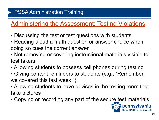### [Administering the Assessment: Testing Violations](http://www.education.pa.gov/K-12/Assessment%20and%20Accountability/PSSA/Pages/Test-Administrators-Materials.aspx)

- Discussing the test or test questions with students
- Reading aloud a math question or answer choice when doing so cues the correct answer
- Not removing or covering instructional materials visible to test takers
- Allowing students to possess cell phones during testing
- Giving content reminders to students (e.g., "Remember, we covered this last week.")
- Allowing students to have devices in the testing room that take pictures
- Copying or recording any part of the secure test materials

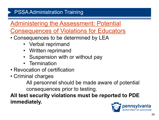Administering the Assessment: Potential

[Consequences of Violations for Educators](http://www.education.pa.gov/K-12/Assessment%20and%20Accountability/PSSA/Pages/Test-Administrators-Materials.aspx)

- Consequences to be determined by LEA
	- Verbal reprimand
	- Written reprimand
	- Suspension with or without pay
	- Termination
- Revocation of certification
- Criminal charges

All personnel should be made aware of potential consequences prior to testing.

**All test security violations must be reported to PDE immediately.**

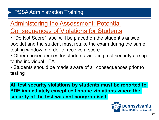### Administering the Assessment: Potential

[Consequences of Violations for Students](http://www.education.pa.gov/K-12/Assessment%20and%20Accountability/PSSA/Pages/Test-Administrators-Materials.aspx)

- "Do Not Score" label will be placed on the student's answer booklet and the student must retake the exam during the same testing window in order to receive a score
- Other consequences for students violating test security are up to the individual LEA
- Students should be made aware of all consequences prior to testing

**All test security violations by students must be reported to PDE immediately except cell phone violations where the security of the test was not compromised.**

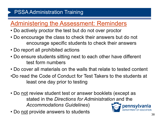### [Administering the Assessment: Reminders](http://www.education.pa.gov/K-12/Assessment%20and%20Accountability/PSSA/Pages/Test-Administrators-Materials.aspx)

- Do actively proctor the test but do not over proctor
- Do encourage the class to check their answers but do not encourage specific students to check their answers
- Do report all prohibited actions
- Do ensure students sitting next to each other have different test form numbers
- Do cover all materials on the walls that relate to tested content
- •Do read the Code of Conduct for Test Takers to the students at least one day prior to testing
- Do not review student test or answer booklets (except as stated in the *Directions for Administration* and the *Accommodations Guidelines*)
- Do not provide answers to students

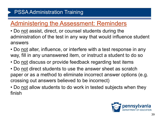### [Administering the Assessment: Reminders](http://www.education.pa.gov/K-12/Assessment%20and%20Accountability/PSSA/Pages/Test-Administrators-Materials.aspx)

- Do not assist, direct, or counsel students during the administration of the test in any way that would influence student answers
- Do not alter, influence, or interfere with a test response in any way, fill in any unanswered item, or instruct a student to do so
- Do not discuss or provide feedback regarding test items
- Do not direct students to use the answer sheet as scratch paper or as a method to eliminate incorrect answer options (e.g. crossing out answers believed to be incorrect)
- Do not allow students to do work in tested subjects when they finish

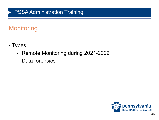### **Monitoring**

- Types
	- Remote Monitoring during 2021-2022
	- Data forensics

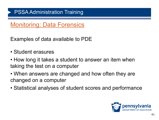### Monitoring: Data Forensics

Examples of data available to PDE

- Student erasures
- How long it takes a student to answer an item when taking the test on a computer
- When answers are changed and how often they are changed on a computer
- Statistical analyses of student scores and performance

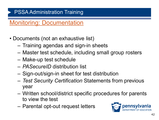### Monitoring: Documentation

- Documents (not an exhaustive list)
	- Training agendas and sign-in sheets
	- Master test schedule, including small group rosters
	- Make-up test schedule
	- *PASecureID* distribution list
	- Sign-out/sign-in sheet for test distribution
	- *Test Security Certification* Statements from previous year
	- Written school/district specific procedures for parents to view the test
	- Parental opt-out request letters

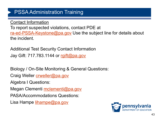Contact Information To report suspected violations, contact PDE at [ra-ed-PSSA-Keystone@pa.gov](mailto:ra-ed-PSSA-Keystone@pa.gov) Use the subject line for details about the incident.

Additional Test Security Contact Information Jay Gift: 717.783.1144 or [rgift@pa.gov](mailto:rgift@pa.gov)

Biology / On-Site Monitoring & General Questions:

Craig Weller *crweller@pa.gov* 

Algebra I Questions:

Megan Clementi [mclementi@pa.gov](mailto:mclementi@pa.gov)

PASA/Accommodations Questions:

Lisa Hampe [lihampe@pa.gov](mailto:lihampe@pa.gov)